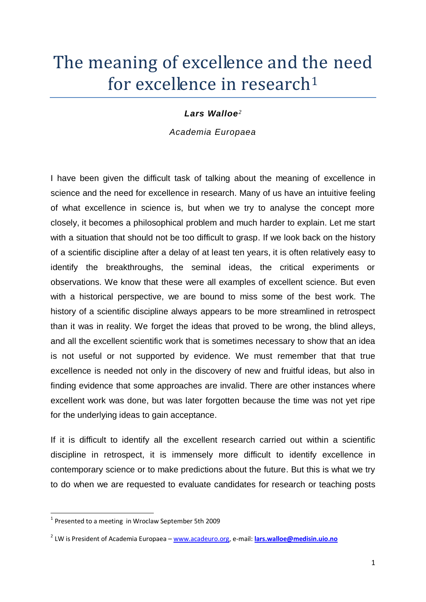# The meaning of excellence and the need for excellence in research<sup>1</sup>

#### *Lars Walloe<sup>2</sup>*

*Academia Europaea*

I have been given the difficult task of talking about the meaning of excellence in science and the need for excellence in research. Many of us have an intuitive feeling of what excellence in science is, but when we try to analyse the concept more closely, it becomes a philosophical problem and much harder to explain. Let me start with a situation that should not be too difficult to grasp. If we look back on the history of a scientific discipline after a delay of at least ten years, it is often relatively easy to identify the breakthroughs, the seminal ideas, the critical experiments or observations. We know that these were all examples of excellent science. But even with a historical perspective, we are bound to miss some of the best work. The history of a scientific discipline always appears to be more streamlined in retrospect than it was in reality. We forget the ideas that proved to be wrong, the blind alleys, and all the excellent scientific work that is sometimes necessary to show that an idea is not useful or not supported by evidence. We must remember that that true excellence is needed not only in the discovery of new and fruitful ideas, but also in finding evidence that some approaches are invalid. There are other instances where excellent work was done, but was later forgotten because the time was not yet ripe for the underlying ideas to gain acceptance.

If it is difficult to identify all the excellent research carried out within a scientific discipline in retrospect, it is immensely more difficult to identify excellence in contemporary science or to make predictions about the future. But this is what we try to do when we are requested to evaluate candidates for research or teaching posts

 1 Presented to a meeting in Wroclaw September 5th 2009

<sup>2</sup> LW is President of Academia Europaea – [www.acadeuro.org,](http://www.acadeuro.org/) e-mail: **[lars.walloe@medisin.uio.no](mailto:lars.walloe@medisin.uio.no)**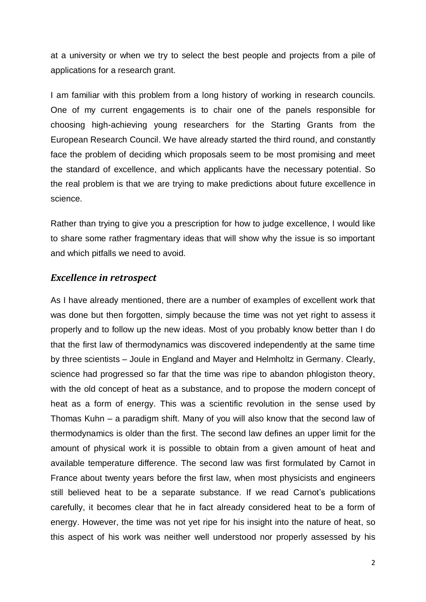at a university or when we try to select the best people and projects from a pile of applications for a research grant.

I am familiar with this problem from a long history of working in research councils. One of my current engagements is to chair one of the panels responsible for choosing high-achieving young researchers for the Starting Grants from the European Research Council. We have already started the third round, and constantly face the problem of deciding which proposals seem to be most promising and meet the standard of excellence, and which applicants have the necessary potential. So the real problem is that we are trying to make predictions about future excellence in science.

Rather than trying to give you a prescription for how to judge excellence, I would like to share some rather fragmentary ideas that will show why the issue is so important and which pitfalls we need to avoid.

#### *Excellence in retrospect*

As I have already mentioned, there are a number of examples of excellent work that was done but then forgotten, simply because the time was not yet right to assess it properly and to follow up the new ideas. Most of you probably know better than I do that the first law of thermodynamics was discovered independently at the same time by three scientists – Joule in England and Mayer and Helmholtz in Germany. Clearly, science had progressed so far that the time was ripe to abandon phlogiston theory, with the old concept of heat as a substance, and to propose the modern concept of heat as a form of energy. This was a scientific revolution in the sense used by Thomas Kuhn – a paradigm shift. Many of you will also know that the second law of thermodynamics is older than the first. The second law defines an upper limit for the amount of physical work it is possible to obtain from a given amount of heat and available temperature difference. The second law was first formulated by Carnot in France about twenty years before the first law, when most physicists and engineers still believed heat to be a separate substance. If we read Carnot's publications carefully, it becomes clear that he in fact already considered heat to be a form of energy. However, the time was not yet ripe for his insight into the nature of heat, so this aspect of his work was neither well understood nor properly assessed by his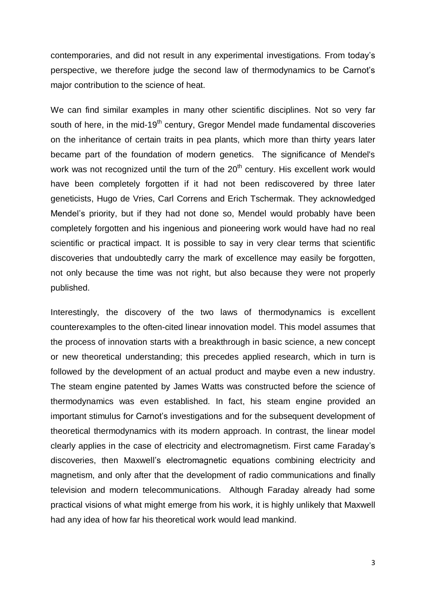contemporaries, and did not result in any experimental investigations. From today's perspective, we therefore judge the second law of thermodynamics to be Carnot's major contribution to the science of heat.

We can find similar examples in many other scientific disciplines. Not so very far south of here, in the mid-19<sup>th</sup> century, Gregor Mendel made fundamental discoveries on the [inheritance](http://en.wikipedia.org/wiki/Biological_inheritance) of certain [traits](http://en.wikipedia.org/wiki/Trait_(biological)) in [pea](http://en.wikipedia.org/wiki/Pea) plants, which more than thirty years later became part of the foundation of modern genetics. The significance of Mendel's work was not recognized until the turn of the  $20<sup>th</sup>$  century. His excellent work would have been completely forgotten if it had not been rediscovered by three later geneticists, [Hugo de Vries,](http://pl.wikipedia.org/wiki/Hugo_de_Vries) [Carl Correns](http://pl.wikipedia.org/w/index.php?title=Carl_Correns&action=edit&redlink=1) and [Erich Tschermak.](http://pl.wikipedia.org/wiki/Erich_Tschermak) They acknowledged Mendel's priority, but if they had not done so, Mendel would probably have been completely forgotten and his ingenious and pioneering work would have had no real scientific or practical impact. It is possible to say in very clear terms that scientific discoveries that undoubtedly carry the mark of excellence may easily be forgotten, not only because the time was not right, but also because they were not properly published.

Interestingly, the discovery of the two laws of thermodynamics is excellent counterexamples to the often-cited linear innovation model. This model assumes that the process of innovation starts with a breakthrough in basic science, a new concept or new theoretical understanding; this precedes applied research, which in turn is followed by the development of an actual product and maybe even a new industry. The steam engine patented by James Watts was constructed before the science of thermodynamics was even established. In fact, his steam engine provided an important stimulus for Carnot's investigations and for the subsequent development of theoretical thermodynamics with its modern approach. In contrast, the linear model clearly applies in the case of electricity and electromagnetism. First came Faraday's discoveries, then Maxwell's electromagnetic equations combining electricity and magnetism, and only after that the development of radio communications and finally television and modern telecommunications. Although Faraday already had some practical visions of what might emerge from his work, it is highly unlikely that Maxwell had any idea of how far his theoretical work would lead mankind.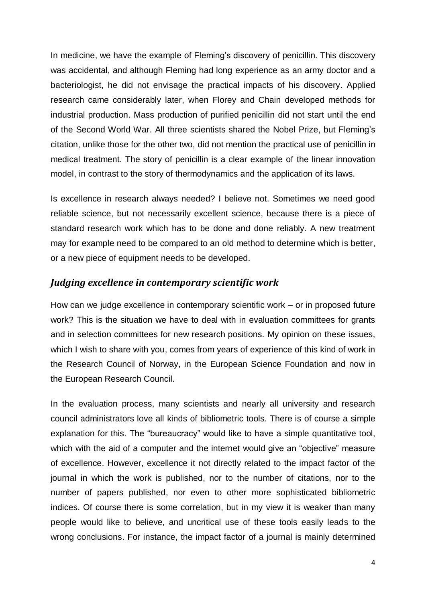In medicine, we have the example of Fleming's discovery of penicillin. This discovery was accidental, and although Fleming had long experience as an army doctor and a bacteriologist, he did not envisage the practical impacts of his discovery. Applied research came considerably later, when Florey and Chain developed methods for industrial production. Mass production of purified penicillin did not start until the end of the Second World War. All three scientists shared the Nobel Prize, but Fleming's citation, unlike those for the other two, did not mention the practical use of penicillin in medical treatment. The story of penicillin is a clear example of the linear innovation model, in contrast to the story of thermodynamics and the application of its laws.

Is excellence in research always needed? I believe not. Sometimes we need good reliable science, but not necessarily excellent science, because there is a piece of standard research work which has to be done and done reliably. A new treatment may for example need to be compared to an old method to determine which is better, or a new piece of equipment needs to be developed.

# *Judging excellence in contemporary scientific work*

How can we judge excellence in contemporary scientific work – or in proposed future work? This is the situation we have to deal with in evaluation committees for grants and in selection committees for new research positions. My opinion on these issues, which I wish to share with you, comes from years of experience of this kind of work in the Research Council of Norway, in the European Science Foundation and now in the European Research Council.

In the evaluation process, many scientists and nearly all university and research council administrators love all kinds of bibliometric tools. There is of course a simple explanation for this. The "bureaucracy" would like to have a simple quantitative tool, which with the aid of a computer and the internet would give an "objective" measure of excellence. However, excellence it not directly related to the impact factor of the journal in which the work is published, nor to the number of citations, nor to the number of papers published, nor even to other more sophisticated bibliometric indices. Of course there is some correlation, but in my view it is weaker than many people would like to believe, and uncritical use of these tools easily leads to the wrong conclusions. For instance, the impact factor of a journal is mainly determined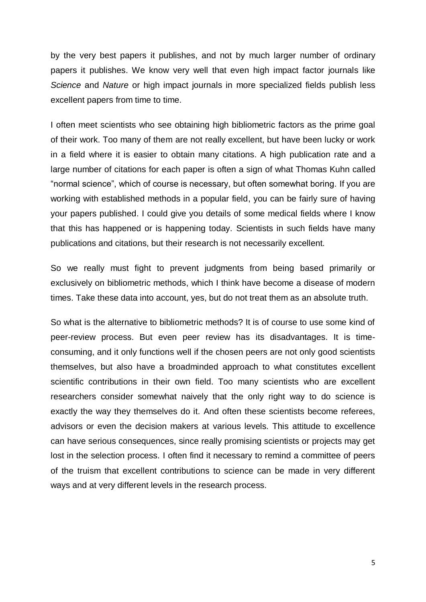by the very best papers it publishes, and not by much larger number of ordinary papers it publishes. We know very well that even high impact factor journals like *Science* and *Nature* or high impact journals in more specialized fields publish less excellent papers from time to time.

I often meet scientists who see obtaining high bibliometric factors as the prime goal of their work. Too many of them are not really excellent, but have been lucky or work in a field where it is easier to obtain many citations. A high publication rate and a large number of citations for each paper is often a sign of what Thomas Kuhn called "normal science", which of course is necessary, but often somewhat boring. If you are working with established methods in a popular field, you can be fairly sure of having your papers published. I could give you details of some medical fields where I know that this has happened or is happening today. Scientists in such fields have many publications and citations, but their research is not necessarily excellent.

So we really must fight to prevent judgments from being based primarily or exclusively on bibliometric methods, which I think have become a disease of modern times. Take these data into account, yes, but do not treat them as an absolute truth.

So what is the alternative to bibliometric methods? It is of course to use some kind of peer-review process. But even peer review has its disadvantages. It is timeconsuming, and it only functions well if the chosen peers are not only good scientists themselves, but also have a broadminded approach to what constitutes excellent scientific contributions in their own field. Too many scientists who are excellent researchers consider somewhat naively that the only right way to do science is exactly the way they themselves do it. And often these scientists become referees, advisors or even the decision makers at various levels. This attitude to excellence can have serious consequences, since really promising scientists or projects may get lost in the selection process. I often find it necessary to remind a committee of peers of the truism that excellent contributions to science can be made in very different ways and at very different levels in the research process.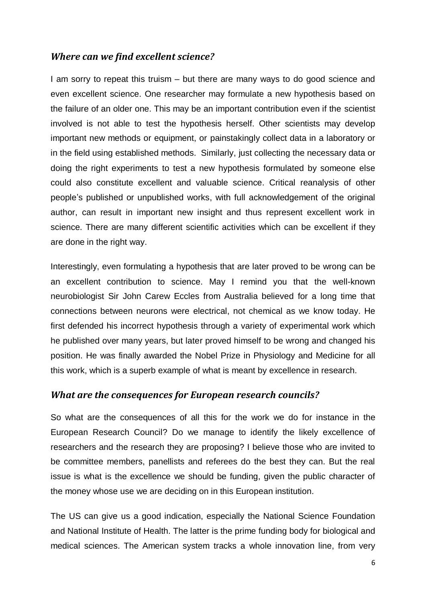# *Where can we find excellent science?*

I am sorry to repeat this truism – but there are many ways to do good science and even excellent science. One researcher may formulate a new hypothesis based on the failure of an older one. This may be an important contribution even if the scientist involved is not able to test the hypothesis herself. Other scientists may develop important new methods or equipment, or painstakingly collect data in a laboratory or in the field using established methods. Similarly, just collecting the necessary data or doing the right experiments to test a new hypothesis formulated by someone else could also constitute excellent and valuable science. Critical reanalysis of other people's published or unpublished works, with full acknowledgement of the original author, can result in important new insight and thus represent excellent work in science. There are many different scientific activities which can be excellent if they are done in the right way.

Interestingly, even formulating a hypothesis that are later proved to be wrong can be an excellent contribution to science. May I remind you that the well-known neurobiologist Sir John Carew Eccles from Australia believed for a long time that connections between neurons were electrical, not chemical as we know today. He first defended his incorrect hypothesis through a variety of experimental work which he published over many years, but later proved himself to be wrong and changed his position. He was finally awarded the Nobel Prize in Physiology and Medicine for all this work, which is a superb example of what is meant by excellence in research.

### *What are the consequences for European research councils?*

So what are the consequences of all this for the work we do for instance in the European Research Council? Do we manage to identify the likely excellence of researchers and the research they are proposing? I believe those who are invited to be committee members, panellists and referees do the best they can. But the real issue is what is the excellence we should be funding, given the public character of the money whose use we are deciding on in this European institution.

The US can give us a good indication, especially the National Science Foundation and National Institute of Health. The latter is the prime funding body for biological and medical sciences. The American system tracks a whole innovation line, from very